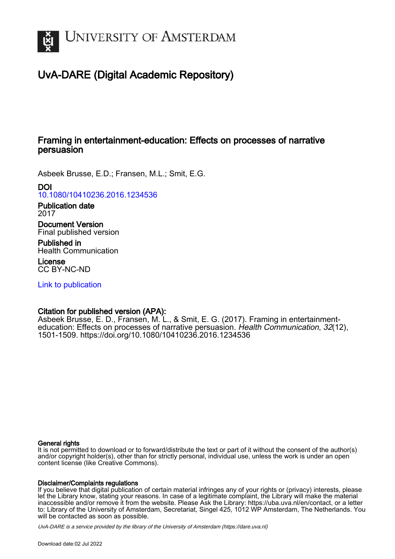

# UvA-DARE (Digital Academic Repository)

## Framing in entertainment-education: Effects on processes of narrative persuasion

Asbeek Brusse, E.D.; Fransen, M.L.; Smit, E.G.

## DOI

[10.1080/10410236.2016.1234536](https://doi.org/10.1080/10410236.2016.1234536)

## Publication date 2017

Document Version Final published version

Published in Health Communication

License CC BY-NC-ND

[Link to publication](https://dare.uva.nl/personal/pure/en/publications/framing-in-entertainmenteducation-effects-on-processes-of-narrative-persuasion(793e87c7-63ac-4402-8e5e-a8b68e279c50).html)

## Citation for published version (APA):

Asbeek Brusse, E. D., Fransen, M. L., & Smit, E. G. (2017). Framing in entertainmenteducation: Effects on processes of narrative persuasion. Health Communication, 32(12), 1501-1509.<https://doi.org/10.1080/10410236.2016.1234536>

## General rights

It is not permitted to download or to forward/distribute the text or part of it without the consent of the author(s) and/or copyright holder(s), other than for strictly personal, individual use, unless the work is under an open content license (like Creative Commons).

## Disclaimer/Complaints regulations

If you believe that digital publication of certain material infringes any of your rights or (privacy) interests, please let the Library know, stating your reasons. In case of a legitimate complaint, the Library will make the material inaccessible and/or remove it from the website. Please Ask the Library: https://uba.uva.nl/en/contact, or a letter to: Library of the University of Amsterdam, Secretariat, Singel 425, 1012 WP Amsterdam, The Netherlands. You will be contacted as soon as possible.

UvA-DARE is a service provided by the library of the University of Amsterdam (http*s*://dare.uva.nl)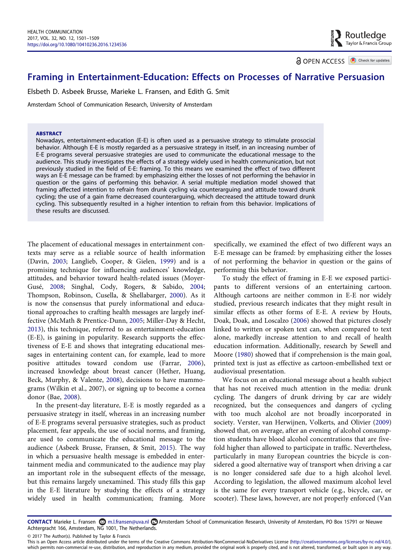**a** OPEN ACCESS **a** Check for updates

## Framing in Entertainment-Education: Effects on Processes of Narrative Persuasion

Elsbeth D. Asbeek Brusse, Marieke L. Fransen, and Edith G. Smit

Amsterdam School of Communication Research, University of Amsterdam

#### ABSTRACT

Nowadays, entertainment-education (E-E) is often used as a persuasive strategy to stimulate prosocial behavior. Although E-E is mostly regarded as a persuasive strategy in itself, in an increasing number of E-E programs several persuasive strategies are used to communicate the educational message to the audience. This study investigates the effects of a strategy widely used in health communication, but not previously studied in the field of E-E: framing. To this means we examined the effect of two different ways an E-E message can be framed: by emphasizing either the losses of not performing the behavior in question or the gains of performing this behavior. A serial multiple mediation model showed that framing affected intention to refrain from drunk cycling via counterarguing and attitude toward drunk cycling; the use of a gain frame decreased counterarguing, which decreased the attitude toward drunk cycling. This subsequently resulted in a higher intention to refrain from this behavior. Implications of these results are discussed.

The placement of educational messages in entertainment contexts may serve as a reliable source of health information (Davin, [2003;](#page-8-0) Langlieb, Cooper, & Gielen, [1999](#page-8-1)) and is a promising technique for influencing audiences' knowledge, attitudes, and behavior toward health-related issues (Moyer-Gusé, [2008;](#page-9-0) Singhal, Cody, Rogers, & Sabido, [2004;](#page-9-1) Thompson, Robinson, Cusella, & Shellabarger, [2000\)](#page-9-2). As it is now the consensus that purely informational and educational approaches to crafting health messages are largely ineffective (McMath & Prentice-Dunn, [2005;](#page-8-2) Miller-Day & Hecht, [2013](#page-8-3)), this technique, referred to as entertainment-education (E-E), is gaining in popularity. Research supports the effectiveness of E-E and shows that integrating educational messages in entertaining content can, for example, lead to more positive attitudes toward condom use (Farrar, [2006](#page-8-4)), increased knowledge about breast cancer (Hether, Huang, Beck, Murphy, & Valente, [2008\)](#page-8-5), decisions to have mammograms (Wilkin et al., 2007), or signing up to become a cornea donor (Bae, [2008\)](#page-8-6).

In the present-day literature, E-E is mostly regarded as a persuasive strategy in itself, whereas in an increasing number of E-E programs several persuasive strategies, such as product placement, fear appeals, the use of social norms, and framing, are used to communicate the educational message to the audience (Asbeek Brusse, Fransen, & Smit, [2015\)](#page-8-7). The way in which a persuasive health message is embedded in entertainment media and communicated to the audience may play an important role in the subsequent effects of the message, but this remains largely unexamined. This study fills this gap in the E-E literature by studying the effects of a strategy widely used in health communication; framing. More specifically, we examined the effect of two different ways an E-E message can be framed: by emphasizing either the losses of not performing the behavior in question or the gains of performing this behavior.

To study the effect of framing in E-E we exposed participants to different versions of an entertaining cartoon. Although cartoons are neither common in E-E nor widely studied, previous research indicates that they might result in similar effects as other forms of E-E. A review by Houts, Doak, Doak, and Loscalzo ([2006\)](#page-8-8) showed that pictures closely linked to written or spoken text can, when compared to text alone, markedly increase attention to and recall of health education information. Additionally, research by Sewell and Moore [\(1980\)](#page-9-3) showed that if comprehension is the main goal, printed text is just as effective as cartoon-embellished text or audiovisual presentation.

We focus on an educational message about a health subject that has not received much attention in the media: drunk cycling. The dangers of drunk driving by car are widely recognized, but the consequences and dangers of cycling with too much alcohol are not broadly incorporated in society. Verster, van Herwijnen, Volkerts, and Olivier [\(2009\)](#page-9-4) showed that, on average, after an evening of alcohol consumption students have blood alcohol concentrations that are fivefold higher than allowed to participate in traffic. Nevertheless, particularly in many European countries the bicycle is considered a good alternative way of transport when driving a car is no longer considered safe due to a high alcohol level. According to legislation, the allowed maximum alcohol level is the same for every transport vehicle (e.g., bicycle, car, or scooter). These laws, however, are not properly enforced (Van

CONTACT Marieke L. Fransen m.l.fransen@uva.nl Amsterdam School of Communication Research, University of Amsterdam, PO Box 15791 or Nieuwe Achtergracht 166, Amsterdam, NG 1001, The Netherlands.

© 2017 The Author(s). Published by Taylor & Francis

This is an Open Access article distributed under the terms of the Creative Commons Attribution-NonCommercial-NoDerivatives License (http://creativecommons.org/licenses/by-nc-nd/4.0/), which permits non-commercial re-use, distribution, and reproduction in any medium, provided the original work is properly cited, and is not altered, transformed, or built upon in any way.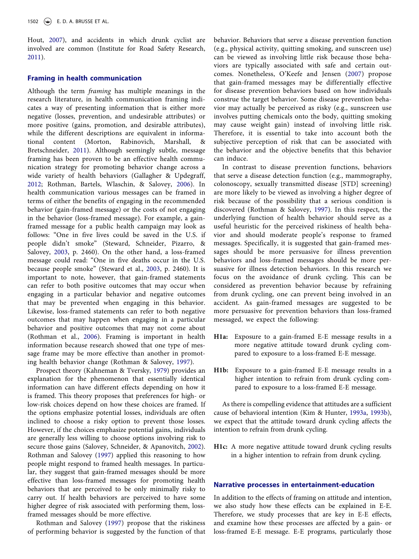Hout, [2007\)](#page-9-5), and accidents in which drunk cyclist are involved are common (Institute for Road Safety Research, [2011](#page-8-9)).

## Framing in health communication

Although the term framing has multiple meanings in the research literature, in health communication framing indicates a way of presenting information that is either more negative (losses, prevention, and undesirable attributes) or more positive (gains, promotion, and desirable attributes), while the different descriptions are equivalent in informational content (Morton, Rabinovich, Marshall, & Bretschneider, [2011\)](#page-8-10). Although seemingly subtle, message framing has been proven to be an effective health communication strategy for promoting behavior change across a wide variety of health behaviors (Gallagher & Updegraff, [2012](#page-8-11); Rothman, Bartels, Wlaschin, & Salovey, [2006\)](#page-9-6). In health communication various messages can be framed in terms of either the benefits of engaging in the recommended behavior (gain-framed message) or the costs of not engaging in the behavior (loss-framed message). For example, a gainframed message for a public health campaign may look as follows: "One in five lives could be saved in the U.S. if people didn't smoke" (Steward, Schneider, Pizarro, & Salovey, [2003](#page-9-7), p. 2460). On the other hand, a loss-framed message could read: "One in five deaths occur in the U.S. because people smoke" (Steward et al., [2003,](#page-9-7) p. 2460). It is important to note, however, that gain-framed statements can refer to both positive outcomes that may occur when engaging in a particular behavior and negative outcomes that may be prevented when engaging in this behavior. Likewise, loss-framed statements can refer to both negative outcomes that may happen when engaging in a particular behavior and positive outcomes that may not come about (Rothman et al., [2006\)](#page-9-6). Framing is important in health information because research showed that one type of message frame may be more effective than another in promoting health behavior change (Rothman & Salovey, [1997\)](#page-9-8).

Prospect theory (Kahneman & Tversky, [1979\)](#page-8-12) provides an explanation for the phenomenon that essentially identical information can have different effects depending on how it is framed. This theory proposes that preferences for high- or low-risk choices depend on how these choices are framed. If the options emphasize potential losses, individuals are often inclined to choose a risky option to prevent those losses. However, if the choices emphasize potential gains, individuals are generally less willing to choose options involving risk to secure those gains (Salovey, Schneider, & Apanovitch, [2002](#page-9-9)). Rothman and Salovey [\(1997](#page-9-8)) applied this reasoning to how people might respond to framed health messages. In particular, they suggest that gain-framed messages should be more effective than loss-framed messages for promoting health behaviors that are perceived to be only minimally risky to carry out. If health behaviors are perceived to have some higher degree of risk associated with performing them, lossframed messages should be more effective.

Rothman and Salovey ([1997](#page-9-8)) propose that the riskiness of performing behavior is suggested by the function of that behavior. Behaviors that serve a disease prevention function (e.g., physical activity, quitting smoking, and sunscreen use) can be viewed as involving little risk because those behaviors are typically associated with safe and certain outcomes. Nonetheless, O'Keefe and Jensen ([2007\)](#page-9-10) propose that gain-framed messages may be differentially effective for disease prevention behaviors based on how individuals construe the target behavior. Some disease prevention behavior may actually be perceived as risky (e.g., sunscreen use involves putting chemicals onto the body, quitting smoking may cause weight gain) instead of involving little risk. Therefore, it is essential to take into account both the subjective perception of risk that can be associated with the behavior and the objective benefits that this behavior can induce.

In contrast to disease prevention functions, behaviors that serve a disease detection function (e.g., mammography, colonoscopy, sexually transmitted disease [STD] screening) are more likely to be viewed as involving a higher degree of risk because of the possibility that a serious condition is discovered (Rothman & Salovey, [1997\)](#page-9-8). In this respect, the underlying function of health behavior should serve as a useful heuristic for the perceived riskiness of health behavior and should moderate people's response to framed messages. Specifically, it is suggested that gain-framed messages should be more persuasive for illness prevention behaviors and loss-framed messages should be more persuasive for illness detection behaviors. In this research we focus on the avoidance of drunk cycling. This can be considered as prevention behavior because by refraining from drunk cycling, one can prevent being involved in an accident. As gain-framed messages are suggested to be more persuasive for prevention behaviors than loss-framed messaged, we expect the following:

- H1a: Exposure to a gain-framed E-E message results in a more negative attitude toward drunk cycling compared to exposure to a loss-framed E-E message.
- H1b: Exposure to a gain-framed E-E message results in a higher intention to refrain from drunk cycling compared to exposure to a loss-framed E-E message.

As there is compelling evidence that attitudes are a sufficient cause of behavioral intention (Kim & Hunter, [1993a](#page-8-13), [1993b](#page-8-14)), we expect that the attitude toward drunk cycling affects the intention to refrain from drunk cycling.

H1c: A more negative attitude toward drunk cycling results in a higher intention to refrain from drunk cycling.

## Narrative processes in entertainment-education

In addition to the effects of framing on attitude and intention, we also study how these effects can be explained in E-E. Therefore, we study processes that are key in E-E effects, and examine how these processes are affected by a gain- or loss-framed E-E message. E-E programs, particularly those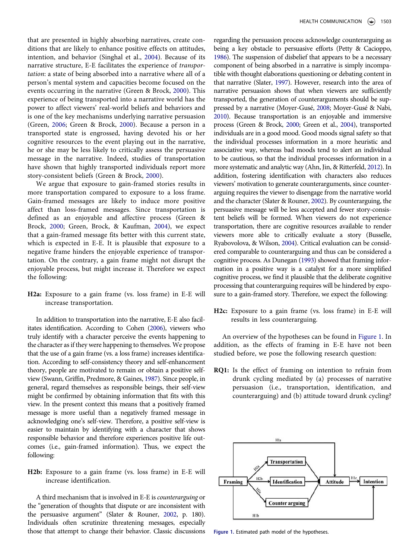that are presented in highly absorbing narratives, create conditions that are likely to enhance positive effects on attitudes, intention, and behavior (Singhal et al., [2004\)](#page-9-1). Because of its narrative structure, E-E facilitates the experience of transportation: a state of being absorbed into a narrative where all of a person's mental system and capacities become focused on the events occurring in the narrative (Green & Brock, [2000\)](#page-8-15). This experience of being transported into a narrative world has the power to affect viewers' real-world beliefs and behaviors and is one of the key mechanisms underlying narrative persuasion (Green, [2006;](#page-8-16) Green & Brock, [2000\)](#page-8-15). Because a person in a transported state is engrossed, having devoted his or her cognitive resources to the event playing out in the narrative, he or she may be less likely to critically assess the persuasive message in the narrative. Indeed, studies of transportation have shown that highly transported individuals report more story-consistent beliefs (Green & Brock, [2000](#page-8-15)).

We argue that exposure to gain-framed stories results in more transportation compared to exposure to a loss frame. Gain-framed messages are likely to induce more positive affect than loss-framed messages. Since transportation is defined as an enjoyable and affective process (Green & Brock, [2000;](#page-8-15) Green, Brock, & Kaufman, [2004\)](#page-8-17), we expect that a gain-framed message fits better with this current state, which is expected in E-E. It is plausible that exposure to a negative frame hinders the enjoyable experience of transportation. On the contrary, a gain frame might not disrupt the enjoyable process, but might increase it. Therefore we expect the following:

H2a: Exposure to a gain frame (vs. loss frame) in E-E will increase transportation.

In addition to transportation into the narrative, E-E also facilitates identification. According to Cohen [\(2006\)](#page-8-18), viewers who truly identify with a character perceive the events happening to the character as if they were happening to themselves. We propose that the use of a gain frame (vs. a loss frame) increases identification. According to self-consistency theory and self-enhancement theory, people are motivated to remain or obtain a positive selfview (Swann, Griffin, Predmore, & Gaines, [1987](#page-9-11)). Since people, in general, regard themselves as responsible beings, their self-view might be confirmed by obtaining information that fits with this view. In the present context this means that a positively framed message is more useful than a negatively framed message in acknowledging one's self-view. Therefore, a positive self-view is easier to maintain by identifying with a character that shows responsible behavior and therefore experiences positive life outcomes (i.e., gain-framed information). Thus, we expect the following:

H2b: Exposure to a gain frame (vs. loss frame) in E-E will increase identification.

A third mechanism that is involved in E-E is counterarguing or the "generation of thoughts that dispute or are inconsistent with the persuasive argument" (Slater & Rouner, [2002](#page-9-12), p. 180). Individuals often scrutinize threatening messages, especially those that attempt to change their behavior. Classic discussions regarding the persuasion process acknowledge counterarguing as being a key obstacle to persuasive efforts (Petty & Cacioppo, [1986](#page-9-13)). The suspension of disbelief that appears to be a necessary component of being absorbed in a narrative is simply incompatible with thought elaborations questioning or debating content in that narrative (Slater, [1997](#page-9-14)). However, research into the area of narrative persuasion shows that when viewers are sufficiently transported, the generation of counterarguments should be suppressed by a narrative (Moyer-Gusé, [2008](#page-9-0); Moyer-Gusé & Nabi, [2010](#page-9-15)). Because transportation is an enjoyable and immersive process (Green & Brock, [2000;](#page-8-15) Green et al., [2004\)](#page-8-17), transported individuals are in a good mood. Good moods signal safety so that the individual processes information in a more heuristic and associative way, whereas bad moods tend to alert an individual to be cautious, so that the individual processes information in a more systematic and analytic way (Ahn, Jin, & Ritterfeld, [2012](#page-8-19)). In addition, fostering identification with characters also reduces viewers' motivation to generate counterarguments, since counterarguing requires the viewer to disengage from the narrative world and the character (Slater & Rouner, [2002](#page-9-12)). By counterarguing, the persuasive message will be less accepted and fewer story-consistent beliefs will be formed. When viewers do not experience transportation, there are cognitive resources available to render viewers more able to critically evaluate a story (Busselle, Ryabovolova, & Wilson, [2004\)](#page-8-20). Critical evaluation can be considered comparable to counterarguing and thus can be considered a cognitive process. As Dunegan ([1993](#page-8-21)) showed that framing information in a positive way is a catalyst for a more simplified cognitive process, we find it plausible that the deliberate cognitive processing that counterarguing requires will be hindered by exposure to a gain-framed story. Therefore, we expect the following:

H2c: Exposure to a gain frame (vs. loss frame) in E-E will results in less counterarguing.

An overview of the hypotheses can be found in [Figure 1](#page-3-0). In addition, as the effects of framing in E-E have not been studied before, we pose the following research question:

RQ1: Is the effect of framing on intention to refrain from drunk cycling mediated by (a) processes of narrative persuasion (i.e., transportation, identification, and counterarguing) and (b) attitude toward drunk cycling?



<span id="page-3-0"></span>Figure 1. Estimated path model of the hypotheses.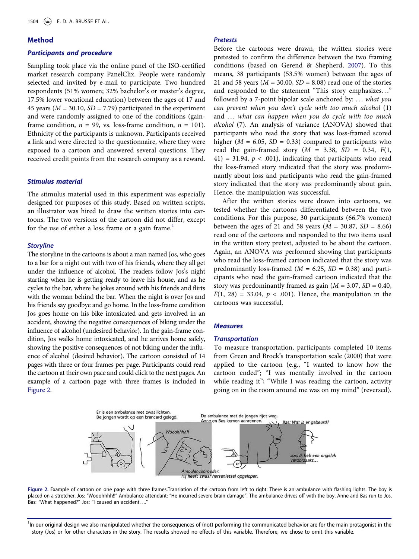#### Method

## Participants and procedure

Sampling took place via the online panel of the ISO-certified market research company PanelClix. People were randomly selected and invited by e-mail to participate. Two hundred respondents (51% women; 32% bachelor's or master's degree, 17.5% lower vocational education) between the ages of 17 and 45 years ( $M = 30.10$ ,  $SD = 7.79$ ) participated in the experiment and were randomly assigned to one of the conditions (gainframe condition,  $n = 99$ , vs. loss-frame condition,  $n = 101$ ). Ethnicity of the participants is unknown. Participants received a link and were directed to the questionnaire, where they were exposed to a cartoon and answered several questions. They received credit points from the research company as a reward.

## Stimulus material

The stimulus material used in this experiment was especially designed for purposes of this study. Based on written scripts, an illustrator was hired to draw the written stories into cartoons. The two versions of the cartoon did not differ, except for the use of either a loss frame or a gain frame.<sup>[1](#page-4-0)</sup>

#### <span id="page-4-0"></span>**Storyline**

The storyline in the cartoons is about a man named Jos, who goes to a bar for a night out with two of his friends, where they all get under the influence of alcohol. The readers follow Jos's night starting when he is getting ready to leave his house, and as he cycles to the bar, where he jokes around with his friends and flirts with the woman behind the bar. When the night is over Jos and his friends say goodbye and go home. In the loss-frame condition Jos goes home on his bike intoxicated and gets involved in an accident, showing the negative consequences of biking under the influence of alcohol (undesired behavior). In the gain-frame condition, Jos walks home intoxicated, and he arrives home safely, showing the positive consequences of not biking under the influence of alcohol (desired behavior). The cartoon consisted of 14 pages with three or four frames per page. Participants could read the cartoon at their own pace and could click to the next pages. An example of a cartoon page with three frames is included in [Figure 2](#page-4-1).

## Pretests

Before the cartoons were drawn, the written stories were pretested to confirm the difference between the two framing conditions (based on Gerend & Shepherd, [2007](#page-8-22)). To this means, 38 participants (53.5% women) between the ages of 21 and 58 years ( $M = 30.00$ ,  $SD = 8.08$ ) read one of the stories and responded to the statement "This story emphasizes. . ." followed by a 7-point bipolar scale anchored by: ... what you can prevent when you don't cycle with too much alcohol (1) and ... what can happen when you do cycle with too much alcohol (7). An analysis of variance (ANOVA) showed that participants who read the story that was loss-framed scored higher ( $M = 6.05$ ,  $SD = 0.33$ ) compared to participants who read the gain-framed story  $(M = 3.38, SD = 0.34, F(1,$ 41) = 31.94,  $p < .001$ ), indicating that participants who read the loss-framed story indicated that the story was predominantly about loss and participants who read the gain-framed story indicated that the story was predominantly about gain. Hence, the manipulation was successful.

After the written stories were drawn into cartoons, we tested whether the cartoons differentiated between the two conditions. For this purpose, 30 participants (66.7% women) between the ages of 21 and 58 years ( $M = 30.87$ ,  $SD = 8.66$ ) read one of the cartoons and responded to the two items used in the written story pretest, adjusted to be about the cartoon. Again, an ANOVA was performed showing that participants who read the loss-framed cartoon indicated that the story was predominantly loss-framed ( $M = 6.25$ ,  $SD = 0.38$ ) and participants who read the gain-framed cartoon indicated that the story was predominantly framed as gain ( $M = 3.07$ ,  $SD = 0.40$ ,  $F(1, 28) = 33.04$ ,  $p < .001$ ). Hence, the manipulation in the cartoons was successful.

## **Measures**

#### **Transportation**

To measure transportation, participants completed 10 items from Green and Brock's transportation scale (2000) that were applied to the cartoon (e.g., "I wanted to know how the cartoon ended"; "I was mentally involved in the cartoon while reading it"; "While I was reading the cartoon, activity going on in the room around me was on my mind" (reversed).



<span id="page-4-1"></span>

<sup>1</sup>In our original design we also manipulated whether the consequences of (not) performing the communicated behavior are for the main protagonist in the story (Jos) or for other characters in the story. The results showed no effects of this variable. Therefore, we chose to omit this variable.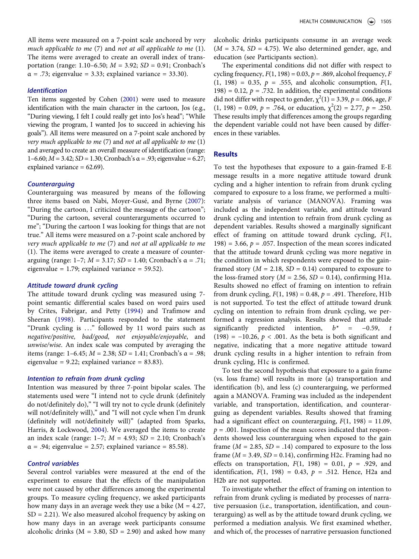All items were measured on a 7-point scale anchored by *very* much applicable to me (7) and not at all applicable to me (1). The items were averaged to create an overall index of transportation (range: 1.10–6.50;  $M = 3.92$ ;  $SD = 0.91$ ; Cronbach's  $\alpha = .73$ ; eigenvalue = 3.33; explained variance = 33.30).

#### Identification

Ten items suggested by Cohen [\(2001\)](#page-8-23) were used to measure identification with the main character in the cartoon, Jos (e.g., "During viewing, I felt I could really get into Jos's head"; "While viewing the program, I wanted Jos to succeed in achieving his goals"). All items were measured on a 7-point scale anchored by very much applicable to me  $(7)$  and not at all applicable to me  $(1)$ and averaged to create an overall measure of identification (range: 1–6.60;  $M = 3.42$ ;  $SD = 1.30$ ; Cronbach's  $\alpha = .93$ ; eigenvalue = 6.27; explained variance = 62.69).

#### **Counterarguing**

Counterarguing was measured by means of the following three items based on Nabi, Moyer-Gusé, and Byrne [\(2007](#page-9-16)): "During the cartoon, I criticized the message of the cartoon"; "During the cartoon, several counterarguments occurred to me"; "During the cartoon I was looking for things that are not true." All items were measured on a 7-point scale anchored by very much applicable to me (7) and not at all applicable to me (1). The items were averaged to create a measure of counterarguing (range: 1-7;  $M = 3.17$ ;  $SD = 1.40$ ; Cronbach's α = .71; eigenvalue =  $1.79$ ; explained variance =  $59.52$ ).

#### Attitude toward drunk cycling

The attitude toward drunk cycling was measured using 7 point semantic differential scales based on word pairs used by Crites, Fabrigar, and Petty [\(1994](#page-8-24)) and Trafimow and Sheeran [\(1998\)](#page-9-17). Participants responded to the statement "Drunk cycling is . . ." followed by 11 word pairs such as negative/positive, bad/good, not enjoyable/enjoyable, and unwise/wise. An index scale was computed by averaging the items (range: 1–6.45;  $M = 2.38$ ;  $SD = 1.41$ ; Cronbach's α = .98; eigenvalue =  $9.22$ ; explained variance =  $83.83$ ).

### Intention to refrain from drunk cycling

Intention was measured by three 7-point bipolar scales. The statements used were "I intend not to cycle drunk (definitely do not/definitely do)," "I will try not to cycle drunk (definitely will not/definitely will)," and "I will not cycle when I'm drunk (definitely will not/definitely will)" (adapted from Sparks, Harris, & Lockwood, [2004](#page-9-18)). We averaged the items to create an index scale (range:  $1-7$ ;  $M = 4.93$ ;  $SD = 2.10$ ; Cronbach's  $\alpha$  = .94; eigenvalue = 2.57; explained variance = 85.58).

## Control variables

Several control variables were measured at the end of the experiment to ensure that the effects of the manipulation were not caused by other differences among the experimental groups. To measure cycling frequency, we asked participants how many days in an average week they use a bike  $(M = 4.27,$  $SD = 2.21$ ). We also measured alcohol frequency by asking on how many days in an average week participants consume alcoholic drinks ( $M = 3.80$ ,  $SD = 2.90$ ) and asked how many alcoholic drinks participants consume in an average week  $(M = 3.74, SD = 4.75)$ . We also determined gender, age, and education (see Participants section).

The experimental conditions did not differ with respect to cycling frequency,  $F(1, 198) = 0.03$ ,  $p = .869$ , alcohol frequency, F  $(1, 198) = 0.35, p = .555, and also holic consumption, F(1,$ 198) = 0.12,  $p = .732$ . In addition, the experimental conditions did not differ with respect to gender,  $\chi^2(1) = 3.39$ ,  $p = .066$ , age, F  $(1, 198) = 0.09$ ,  $p = .764$ , or education,  $\chi^2(2) = 2.77$ ,  $p = .250$ . These results imply that differences among the groups regarding the dependent variable could not have been caused by differences in these variables.

## **Results**

To test the hypotheses that exposure to a gain-framed E-E message results in a more negative attitude toward drunk cycling and a higher intention to refrain from drunk cycling compared to exposure to a loss frame, we performed a multivariate analysis of variance (MANOVA). Framing was included as the independent variable, and attitude toward drunk cycling and intention to refrain from drunk cycling as dependent variables. Results showed a marginally significant effect of framing on attitude toward drunk cycling,  $F(1, 1)$ 198) = 3.66,  $p = 0.057$ . Inspection of the mean scores indicated that the attitude toward drunk cycling was more negative in the condition in which respondents were exposed to the gainframed story ( $M = 2.18$ ,  $SD = 0.14$ ) compared to exposure to the loss-framed story ( $M = 2.56$ ,  $SD = 0.14$ ), confirming H1a. Results showed no effect of framing on intention to refrain from drunk cycling,  $F(1, 198) = 0.48$ ,  $p = .491$ . Therefore, H1b is not supported. To test the effect of attitude toward drunk cycling on intention to refrain from drunk cycling, we performed a regression analysis. Results showed that attitude significantly predicted intention,  $b^* = -0.59$ , t (198) =  $-10.26$ ,  $p < .001$ . As the beta is both significant and negative, indicating that a more negative attitude toward drunk cycling results in a higher intention to refrain from drunk cycling, H1c is confirmed.

To test the second hypothesis that exposure to a gain frame (vs. loss frame) will results in more (a) transportation and identification (b), and less (c) counterarguing, we performed again a MANOVA. Framing was included as the independent variable, and transportation, identification, and counterarguing as dependent variables. Results showed that framing had a significant effect on counterarguing,  $F(1, 198) = 11.09$ ,  $p = .001$ . Inspection of the mean scores indicated that respondents showed less counterarguing when exposed to the gain frame ( $M = 2.85$ ,  $SD = .14$ ) compared to exposure to the loss frame ( $M = 3.49$ ,  $SD = 0.14$ ), confirming H2c. Framing had no effects on transportation,  $F(1, 198) = 0.01$ ,  $p = .929$ , and identification,  $F(1, 198) = 0.43$ ,  $p = .512$ . Hence, H2a and H2b are not supported.

To investigate whether the effect of framing on intention to refrain from drunk cycling is mediated by processes of narrative persuasion (i.e., transportation, identification, and counterarguing) as well as by the attitude toward drunk cycling, we performed a mediation analysis. We first examined whether, and which of, the processes of narrative persuasion functioned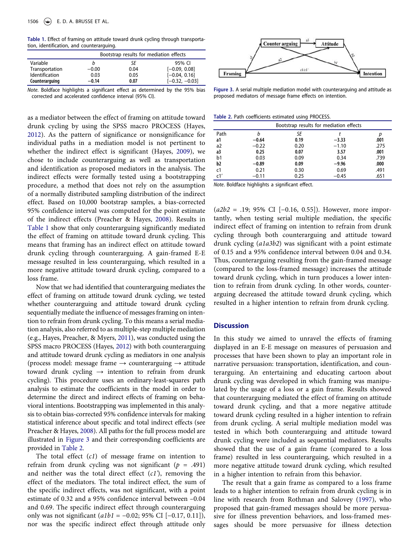<span id="page-6-0"></span>Table 1. Effect of framing on attitude toward drunk cycling through transportation, identification, and counterarguing.

|                |         | Bootstrap results for mediation effects |                                                                              |  |
|----------------|---------|-----------------------------------------|------------------------------------------------------------------------------|--|
| Variable       | b       | SΕ                                      | 95% CI                                                                       |  |
| Transportation | $-0.00$ | 0.04                                    | $[-0.09, 0.08]$                                                              |  |
| Identification | 0.03    | 0.05                                    | $[-0.04, 0.16]$                                                              |  |
| Counterarguing | $-0.14$ | 0.07                                    | $[-0.32, -0.03]$                                                             |  |
|                |         |                                         | Note. Boldface highlights a significant effect as determined by the 95% bias |  |

corrected and accelerated confidence interval (95% CI).

as a mediator between the effect of framing on attitude toward drunk cycling by using the SPSS macro PROCESS (Hayes, [2012](#page-8-25)). As the pattern of significance or nonsignificance for individual paths in a mediation model is not pertinent to whether the indirect effect is significant (Hayes, [2009](#page-8-26)), we chose to include counterarguing as well as transportation and identification as proposed mediators in the analysis. The indirect effects were formally tested using a bootstrapping procedure, a method that does not rely on the assumption of a normally distributed sampling distribution of the indirect effect. Based on 10,000 bootstrap samples, a bias-corrected 95% confidence interval was computed for the point estimate of the indirect effects (Preacher & Hayes, [2008\)](#page-9-19). Results in [Table 1](#page-6-0) show that only counterarguing significantly mediated the effect of framing on attitude toward drunk cycling. This means that framing has an indirect effect on attitude toward drunk cycling through counterarguing. A gain-framed E-E message resulted in less counterarguing, which resulted in a more negative attitude toward drunk cycling, compared to a loss frame.

Now that we had identified that counterarguing mediates the effect of framing on attitude toward drunk cycling, we tested whether counterarguing and attitude toward drunk cycling sequentially mediate the influence of messages framing on intention to refrain from drunk cycling. To this means a serial mediation analysis, also referred to as multiple-step multiple mediation (e.g., Hayes, Preacher, & Myers, [2011\)](#page-8-27), was conducted using the SPSS macro PROCESS (Hayes, [2012](#page-8-25)) with both counterarguing and attitude toward drunk cycling as mediators in one analysis (process model: message frame  $\rightarrow$  counterarguing  $\rightarrow$  attitude toward drunk cycling  $\rightarrow$  intention to refrain from drunk cycling). This procedure uses an ordinary-least-squares path analysis to estimate the coefficients in the model in order to determine the direct and indirect effects of framing on behavioral intentions. Bootstrapping was implemented in this analysis to obtain bias-corrected 95% confidence intervals for making statistical inference about specific and total indirect effects (see Preacher & Hayes, [2008](#page-9-19)). All paths for the full process model are illustrated in [Figure 3](#page-6-1) and their corresponding coefficients are provided in [Table 2](#page-6-2).

The total effect  $(cl)$  of message frame on intention to refrain from drunk cycling was not significant ( $p = .491$ ) and neither was the total direct effect  $(c1')$ , removing the effect of the mediators. The total indirect effect, the sum of the specific indirect effects, was not significant, with a point estimate of 0.32 and a 95% confidence interval between –0.04 and 0.69. The specific indirect effect through counterarguing only was not significant  $(a1b1 = -0.02; 95% \text{ CI } [-0.17, 0.11]),$ nor was the specific indirect effect through attitude only



<span id="page-6-1"></span>Figure 3. A serial multiple mediation model with counterarguing and attitude as proposed mediators of message frame effects on intention.

<span id="page-6-2"></span>Table 2. Path coefficients estimated using PROCESS.

|      | Bootstrap results for mediation effects |      |         |      |  |
|------|-----------------------------------------|------|---------|------|--|
| Path |                                         | SE   |         |      |  |
| a1   | $-0.64$                                 | 0.19 | $-3.33$ | .001 |  |
| a2   | $-0.22$                                 | 0.20 | $-1.10$ | .275 |  |
| a3   | 0.25                                    | 0.07 | 3.57    | .001 |  |
| b1   | 0.03                                    | 0.09 | 0.34    | .739 |  |
| b2   | $-0.89$                                 | 0.09 | $-9.96$ | .000 |  |
| c1   | 0.21                                    | 0.30 | 0.69    | .491 |  |
| c1'  | $-0.11$                                 | 0.25 | $-0.45$ | .651 |  |

Note. Boldface highlights a significant effect.

 $(a2b2 = .19; 95\% \text{ CI } [-0.16, 0.55]).$  However, more importantly, when testing serial multiple mediation, the specific indirect effect of framing on intention to refrain from drunk cycling through both counterarguing and attitude toward drunk cycling (a1a3b2) was significant with a point estimate of 0.15 and a 95% confidence interval between 0.04 and 0.34. Thus, counterarguing resulting from the gain-framed message (compared to the loss-framed message) increases the attitude toward drunk cycling, which in turn produces a lower intention to refrain from drunk cycling. In other words, counterarguing decreased the attitude toward drunk cycling, which resulted in a higher intention to refrain from drunk cycling.

#### **Discussion**

In this study we aimed to unravel the effects of framing displayed in an E-E message on measures of persuasion and processes that have been shown to play an important role in narrative persuasion: transportation, identification, and counterarguing. An entertaining and educating cartoon about drunk cycling was developed in which framing was manipulated by the usage of a loss or a gain frame. Results showed that counterarguing mediated the effect of framing on attitude toward drunk cycling, and that a more negative attitude toward drunk cycling resulted in a higher intention to refrain from drunk cycling. A serial multiple mediation model was tested in which both counterarguing and attitude toward drunk cycling were included as sequential mediators. Results showed that the use of a gain frame (compared to a loss frame) resulted in less counterarguing, which resulted in a more negative attitude toward drunk cycling, which resulted in a higher intention to refrain from this behavior.

The result that a gain frame as compared to a loss frame leads to a higher intention to refrain from drunk cycling is in line with research from Rothman and Salovey [\(1997](#page-9-8)), who proposed that gain-framed messages should be more persuasive for illness prevention behaviors, and loss-framed messages should be more persuasive for illness detection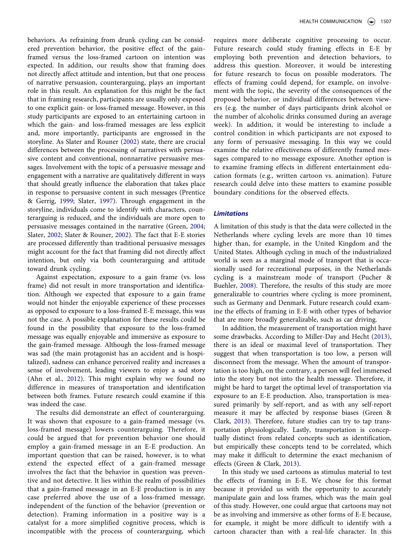behaviors. As refraining from drunk cycling can be considered prevention behavior, the positive effect of the gainframed versus the loss-framed cartoon on intention was expected. In addition, our results show that framing does not directly affect attitude and intention, but that one process of narrative persuasion, counterarguing, plays an important role in this result. An explanation for this might be the fact that in framing research, participants are usually only exposed to one explicit gain- or loss-framed message. However, in this study participants are exposed to an entertaining cartoon in which the gain- and loss-framed messages are less explicit and, more importantly, participants are engrossed in the storyline. As Slater and Rouner ([2002\)](#page-9-12) state, there are crucial differences between the processing of narratives with persuasive content and conventional, nonnarrative persuasive messages. Involvement with the topic of a persuasive message and engagement with a narrative are qualitatively different in ways that should greatly influence the elaboration that takes place in response to persuasive content in such messages (Prentice & Gerrig, [1999;](#page-9-20) Slater, [1997](#page-9-14)). Through engagement in the storyline, individuals come to identify with characters, counterarguing is reduced, and the individuals are more open to persuasive messages contained in the narrative (Green, [2004;](#page-8-28) Slater, [2002](#page-9-21); Slater & Rouner, [2002](#page-9-12)). The fact that E-E stories are processed differently than traditional persuasive messages might account for the fact that framing did not directly affect intention, but only via both counterarguing and attitude toward drunk cycling.

Against expectation, exposure to a gain frame (vs. loss frame) did not result in more transportation and identification. Although we expected that exposure to a gain frame would not hinder the enjoyable experience of these processes as opposed to exposure to a loss-framed E-E message, this was not the case. A possible explanation for these results could be found in the possibility that exposure to the loss-framed message was equally enjoyable and immersive as exposure to the gain-framed message. Although the loss-framed message was sad (the main protagonist has an accident and is hospitalized), sadness can enhance perceived reality and increases a sense of involvement, leading viewers to enjoy a sad story (Ahn et al., [2012](#page-8-19)). This might explain why we found no difference in measures of transportation and identification between both frames. Future research could examine if this was indeed the case.

The results did demonstrate an effect of counterarguing. It was shown that exposure to a gain-framed message (vs. loss-framed message) lowers counterarguing. Therefore, it could be argued that for prevention behavior one should employ a gain-framed message in an E-E production. An important question that can be raised, however, is to what extend the expected effect of a gain-framed message involves the fact that the behavior in question was preventive and not detective. It lies within the realm of possibilities that a gain-framed message in an E-E production is in any case preferred above the use of a loss-framed message, independent of the function of the behavior (prevention or detection). Framing information in a positive way is a catalyst for a more simplified cognitive process, which is incompatible with the process of counterarguing, which

requires more deliberate cognitive processing to occur. Future research could study framing effects in E-E by employing both prevention and detection behaviors, to address this question. Moreover, it would be interesting for future research to focus on possible moderators. The effects of framing could depend, for example, on involvement with the topic, the severity of the consequences of the proposed behavior, or individual differences between viewers (e.g. the number of days participants drink alcohol or the number of alcoholic drinks consumed during an average week). In addition, it would be interesting to include a control condition in which participants are not exposed to any form of persuasive messaging. In this way we could examine the relative effectiveness of differently framed messages compared to no message exposure. Another option is to examine framing effects in different entertainment education formats (e.g., written cartoon vs. animation). Future research could delve into these matters to examine possible boundary conditions for the observed effects.

## **Limitations**

A limitation of this study is that the data were collected in the Netherlands where cycling levels are more than 10 times higher than, for example, in the United Kingdom and the United States. Although cycling in much of the industrialized world is seen as a marginal mode of transport that is occasionally used for recreational purposes, in the Netherlands cycling is a mainstream mode of transport (Pucher & Buehler, [2008\)](#page-9-22). Therefore, the results of this study are more generalizable to countries where cycling is more prominent, such as Germany and Denmark. Future research could examine the effects of framing in E-E with other types of behavior that are more broadly generalizable, such as car driving.

In addition, the measurement of transportation might have some drawbacks. According to Miller-Day and Hecht [\(2013](#page-8-3)), there is an ideal or maximal level of transportation. They suggest that when transportation is too low, a person will disconnect from the message. When the amount of transportation is too high, on the contrary, a person will feel immersed into the story but not into the health message. Therefore, it might be hard to target the optimal level of transportation via exposure to an E-E production. Also, transportation is measured primarily by self-report, and as with any self-report measure it may be affected by response biases (Green & Clark, [2013\)](#page-8-29). Therefore, future studies can try to tap transportation physiologically. Lastly, transportation is conceptually distinct from related concepts such as identification, but empirically these concepts tend to be correlated, which may make it difficult to determine the exact mechanism of effects (Green & Clark, [2013\)](#page-8-29).

In this study we used cartoons as stimulus material to test the effects of framing in E-E. We chose for this format because it provided us with the opportunity to accurately manipulate gain and loss frames, which was the main goal of this study. However, one could argue that cartoons may not be as involving and immersive as other forms of E-E because, for example, it might be more difficult to identify with a cartoon character than with a real-life character. In this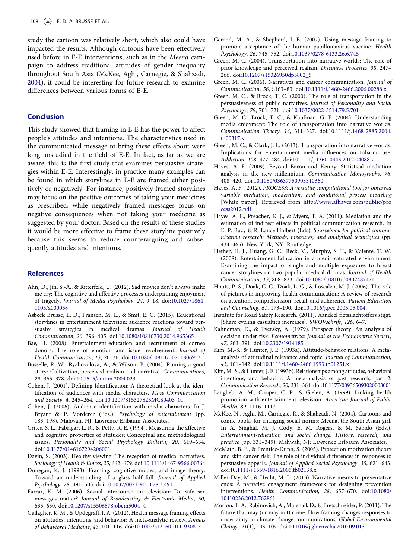study the cartoon was relatively short, which also could have impacted the results. Although cartoons have been effectively used before in E-E interventions, such as in the Meena campaign to address traditional attitudes of gender inequality throughout South Asia (McKee, Aghi, Carnegie, & Shahzadi, [2004](#page-8-30)), it could be interesting for future research to examine differences between various forms of E-E.

### Conclusion

This study showed that framing in E-E has the power to affect people's attitudes and intentions. The characteristics used in the communicated message to bring these effects about were long unstudied in the field of E-E. In fact, as far as we are aware, this is the first study that examines persuasive strategies within E-E. Interestingly, in practice many examples can be found in which storylines in E-E are framed either positively or negatively. For instance, positively framed storylines may focus on the positive outcomes of taking your medicines as prescribed, while negatively framed messages focus on negative consequences when not taking your medicine as suggested by your doctor. Based on the results of these studies it would be more effective to frame these storyline positively because this seems to reduce counterarguing and subsequently attitudes and intentions.

### References

- <span id="page-8-19"></span>Ahn, D., Jin, S.-A., & Ritterfeld, U. (2012). Sad movies don't always make me cry: The cognitive and affective processes underpinning enjoyment of tragedy. Journal of Media Psychology, 24, 9–18. doi[:10.1027/1864-](http://dx.doi.org/10.1027/1864-1105/a000058) [1105/a000058](http://dx.doi.org/10.1027/1864-1105/a000058)
- <span id="page-8-7"></span>Asbeek Brusse, E. D., Fransen, M. L., & Smit, E. G. (2015). Educational storylines in entertainment television: audience reactions toward persuasive strategies in medical dramas. Journal of Health Communication, 20, 396–405. doi[:10.1080/10810730.2014.965365](http://dx.doi.org/10.1080/10810730.2014.965365)
- <span id="page-8-6"></span>Bae, H. (2008). Entertainment-education and recruitment of cornea donors: The role of emotion and issue involvement. Journal of Health Communication, 13, 20–36. doi:[10.1080/10810730701806953](http://dx.doi.org/10.1080/10810730701806953)
- <span id="page-8-20"></span>Busselle, R. W., Ryabovolova, A., & Wilson, B. (2004). Ruining a good story: Cultivation, perceived realism and narrative. Communications, 29, 365–378. doi:[10.1515/comm.2004.023](http://dx.doi.org/10.1515/comm.2004.023)
- <span id="page-8-23"></span>Cohen, J. (2001). Defining Identification: A theoretical look at the identification of audiences with media characters. Mass Communication and Society, 4, 245–264. doi[:10.1207/S15327825MCS0403\\_01](http://dx.doi.org/10.1207/S15327825MCS0403%5F01)
- <span id="page-8-18"></span>Cohen, J. (2006). Audience identification with media characters. In J. Bryant & P. Vorderer (Eds.), Psychology of entertainment (pp. 183–198). Mahwah, NJ: Lawrence Erlbaum Associates.
- <span id="page-8-24"></span>Crites, S. L., Fabrigar, L. R., & Petty, R. E. (1994). Measuring the affective and cognitive properties of attitudes: Conceptual and methodological issues. Personality and Social Psychology Bulletin, 20, 619–634. doi[:10.1177/0146167294206001](http://dx.doi.org/10.1177/0146167294206001)
- <span id="page-8-0"></span>Davin, S. (2003). Healthy viewing: The reception of medical narratives. Sociology of Health & Illness, 25, 662-679. doi:[10.1111/1467-9566.00364](http://dx.doi.org/10.1111/1467-9566.00364)
- <span id="page-8-21"></span>Dunegan, K. J. (1993). Framing, cognitive modes, and image theory: Toward an understanding of a glass half full. Journal of Applied Psychology, 78, 491–503. doi:[10.1037/0021-9010.78.3.491](http://dx.doi.org/10.1037/0021-9010.78.3.491)
- <span id="page-8-4"></span>Farrar, K. M. (2006). Sexual intercourse on television: Do safe sex messages matter? Journal of Broadcasting & Electronic Media, 50, 635–650. doi:[10.1207/s15506878jobem5004\\_4](http://dx.doi.org/10.1207/s15506878jobem5004%5F4)
- <span id="page-8-11"></span>Gallagher, K. M., & Updegraff, J. A. (2012). Health message framing effects on attitudes, intentions, and behavior: A meta-analytic review. Annals of Behavioral Medicine, 43, 101–116. doi:[10.1007/s12160-011-9308-7](http://dx.doi.org/10.1007/s12160-011-9308-7)
- <span id="page-8-22"></span>Gerend, M. A., & Shepherd, J. E. (2007). Using message framing to promote acceptance of the human papillomavirus vaccine. Health Psychology, 26, 745–752. doi:[10.1037/0278-6133.26.6.745](http://dx.doi.org/10.1037/0278-6133.26.6.745)
- <span id="page-8-28"></span>Green, M. C. (2004). Transportation into narrative worlds: The role of prior knowledge and perceived realism. Discourse Processes, 38, 247– 266. doi[:10.1207/s15326950dp3802\\_5](http://dx.doi.org/10.1207/s15326950dp3802%5F5)
- <span id="page-8-16"></span>Green, M. C. (2006). Narratives and cancer communication. Journal of Communication, 56, S163–83. doi[:10.1111/j.1460-2466.2006.00288.x](http://dx.doi.org/10.1111/j.1460-2466.2006.00288.x)
- <span id="page-8-15"></span>Green, M. C., & Brock, T. C. (2000). The role of transportation in the persuasiveness of public narratives. Journal of Personality and Social Psychology, 79, 701–721. doi:[10.1037/0022-3514.79.5.701](http://dx.doi.org/10.1037/0022-3514.79.5.701)
- <span id="page-8-17"></span>Green, M. C., Brock, T. C., & Kaufman, G. F. (2004). Understanding media enjoyment: The role of transportation into narrative worlds. Communication Theory, 14, 311–327. doi:[10.1111/j.1468-2885.2004.](http://dx.doi.org/10.1111/j.1468-2885.2004.tb00317.x) [tb00317.x](http://dx.doi.org/10.1111/j.1468-2885.2004.tb00317.x)
- <span id="page-8-29"></span>Green, M. C., & Clark, J. L. (2013). Transportation into narrative worlds: Implications for entertainment media influences on tobacco use. Addiction, 108, 477–484. doi:[10.1111/j.1360-0443.2012.04088.x](http://dx.doi.org/10.1111/j.1360-0443.2012.04088.x)
- <span id="page-8-26"></span>Hayes, A. F. (2009). Beyond Baron and Kenny: Statistical mediation analysis in the new millennium. Communication Monographs, 76, 408–420. doi:[10.1080/03637750903310360](http://dx.doi.org/10.1080/03637750903310360)
- <span id="page-8-25"></span>Hayes, A. F. (2012). PROCESS: A versatile computational tool for observed variable mediation, moderation, and conditional process modeling [White paper]. Retrieved from [http://www.afhayes.com/public/pro](http://www.afhayes.com/public/process2012.pdf) [cess2012.pdf](http://www.afhayes.com/public/process2012.pdf)
- <span id="page-8-27"></span>Hayes, A. F., Preacher, K. J., & Myers, T. A. (2011). Mediation and the estimation of indirect effects in political communication research. In E. P. Bucy & R. Lance Holbert (Eds), Sourcebook for political communication research: Methods, measures, and analytical techniques (pp. 434–465). New York, NY: Routledge.
- <span id="page-8-5"></span>Hether, H. J., Huang, G. C., Beck, V., Murphy, S. T., & Valente, T. W. (2008). Entertainment-Education in a media-saturated environment: Examining the impact of single and multiple exposures to breast cancer storylines on two popular medical dramas. Journal of Health Communication, 13, 808–823. doi[:10.1080/10810730802487471](http://dx.doi.org/10.1080/10810730802487471)
- <span id="page-8-8"></span>Houts, P. S., Doak, C. C., Doak, L. G., & Loscalzo, M. J. (2006). The role of pictures in improving health communication: A review of research on attention, comprehension, recall, and adherence. Patient Education and Counseling, 61, 173–190. doi[:10.1016/j.pec.2005.05.004](http://dx.doi.org/10.1016/j.pec.2005.05.004)
- <span id="page-8-9"></span>Institute for Road Safety Research. (2011). Aandeel fietsslachtoffers stijgt. [Share cycling casualties increases]. SWOVschrift, 126, 6–7.
- <span id="page-8-12"></span>Kahneman, D., & Tversky, A. (1979). Prospect theory: An analysis of decision under risk. Econometrica: Journal of the Econometric Society, 47, 263–291. doi:[10.2307/1914185](http://dx.doi.org/10.2307/1914185)
- <span id="page-8-13"></span>Kim, M.-S., & Hunter, J. E. (1993a). Attitude-behavior relations: A metaanalysis of attitudinal relevance and topic. Journal of Communication, 43, 101–142. doi:[10.1111/j.1460-2466.1993.tb01251.x](http://dx.doi.org/10.1111/j.1460-2466.1993.tb01251.x)
- <span id="page-8-14"></span>Kim, M.-S., & Hunter, J. E. (1993b). Relationships among attitudes, behavioral intentions, and behavior: A meta-analysis of past research, part 2. Communication Research, 20, 331–364. doi[:10.1177/009365093020003001](http://dx.doi.org/10.1177/009365093020003001)
- <span id="page-8-1"></span>Langlieb, A. M., Cooper, C. P., & Gielen, A. (1999). Linking health promotion with entertainment television. American Journal of Public Health, 89, 1116–1117.
- <span id="page-8-30"></span>McKee, N., Aghi, M., Carnegie, R., & Shahzadi, N. (2004). Cartoons and comic books for changing social norms: Meena, the South Asian girl. In A. Singhal, M. J. Cody, E. M. Rogers, & M. Sabido (Eds.), Entertainment-education and social change: History, research, and practice (pp. 331–349). Mahwah, NJ: Lawrence Erlbaum Associates.
- <span id="page-8-2"></span>McMath, B. F., & Prentice-Dunn, S. (2005). Protection motivation theory and skin cancer risk: The role of individual differences in responses to persuasive appeals. Journal of Applied Social Psychology, 35, 621–643. doi[:10.1111/j.1559-1816.2005.tb02138.x](http://dx.doi.org/10.1111/j.1559-1816.2005.tb02138.x)
- <span id="page-8-3"></span>Miller-Day, M., & Hecht, M. L. (2013). Narrative means to preventative ends: A narrative engagement framework for designing prevention interventions. Health Communication, 28, 657–670. doi:[10.1080/](http://dx.doi.org/10.1080/10410236.2012.762861) [10410236.2012.762861](http://dx.doi.org/10.1080/10410236.2012.762861)
- <span id="page-8-10"></span>Morton, T. A., Rabinovich, A., Marshall, D., & Bretschneider, P. (2011). The future that may (or may not) come: How framing changes responses to uncertainty in climate change communications. Global Environmental Change, 21(1), 103–109. doi[:10.1016/j.gloenvcha.2010.09.013](http://dx.doi.org/10.1016/j.gloenvcha.2010.09.013)